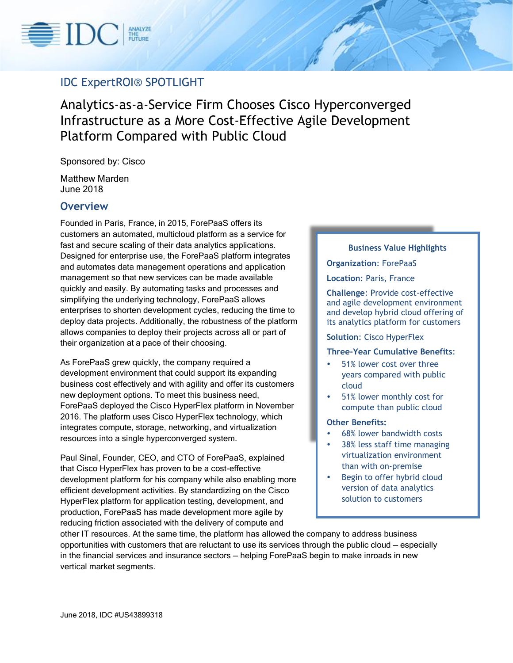

# IDC ExpertROI® SPOTLIGHT

Analytics-as-a-Service Firm Chooses Cisco Hyperconverged Infrastructure as a More Cost-Effective Agile Development Platform Compared with Public Cloud

Sponsored by: Cisco

Matthew Marden June 2018

### **Overview**

Founded in Paris, France, in 2015, ForePaaS offers its customers an automated, multicloud platform as a service for fast and secure scaling of their data analytics applications. Designed for enterprise use, the ForePaaS platform integrates and automates data management operations and application management so that new services can be made available quickly and easily. By automating tasks and processes and simplifying the underlying technology, ForePaaS allows enterprises to shorten development cycles, reducing the time to deploy data projects. Additionally, the robustness of the platform allows companies to deploy their projects across all or part of their organization at a pace of their choosing.

As ForePaaS grew quickly, the company required a development environment that could support its expanding business cost effectively and with agility and offer its customers new deployment options. To meet this business need, ForePaaS deployed the Cisco HyperFlex platform in November 2016. The platform uses Cisco HyperFlex technology, which integrates compute, storage, networking, and virtualization resources into a single hyperconverged system.

Paul Sinaï, Founder, CEO, and CTO of ForePaaS, explained that Cisco HyperFlex has proven to be a cost-effective development platform for his company while also enabling more efficient development activities. By standardizing on the Cisco HyperFlex platform for application testing, development, and production, ForePaaS has made development more agile by reducing friction associated with the delivery of compute and

### **Business Value Highlights**

#### **Organization**: ForePaaS

#### **Location**: Paris, France

**Challenge**: Provide cost-effective and agile development environment and develop hybrid cloud offering of its analytics platform for customers

#### **Solution**: Cisco HyperFlex

### **Three-Year Cumulative Benefits**:

- 51% lower cost over three years compared with public cloud
- 51% lower monthly cost for compute than public cloud

### **Other Benefits:**

- 68% lower bandwidth costs
- 38% less staff time managing virtualization environment than with on-premise
- Begin to offer hybrid cloud version of data analytics solution to customers

other IT resources. At the same time, the platform has allowed the company to address business opportunities with customers that are reluctant to use its services through the public cloud — especially in the financial services and insurance sectors — helping ForePaaS begin to make inroads in new vertical market segments.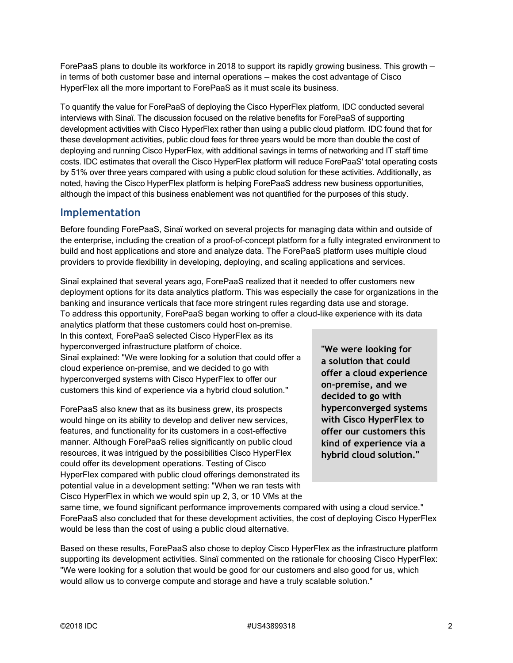ForePaaS plans to double its workforce in 2018 to support its rapidly growing business. This growth in terms of both customer base and internal operations — makes the cost advantage of Cisco HyperFlex all the more important to ForePaaS as it must scale its business.

To quantify the value for ForePaaS of deploying the Cisco HyperFlex platform, IDC conducted several interviews with Sinaï. The discussion focused on the relative benefits for ForePaaS of supporting development activities with Cisco HyperFlex rather than using a public cloud platform. IDC found that for these development activities, public cloud fees for three years would be more than double the cost of deploying and running Cisco HyperFlex, with additional savings in terms of networking and IT staff time costs. IDC estimates that overall the Cisco HyperFlex platform will reduce ForePaaS' total operating costs by 51% over three years compared with using a public cloud solution for these activities. Additionally, as noted, having the Cisco HyperFlex platform is helping ForePaaS address new business opportunities, although the impact of this business enablement was not quantified for the purposes of this study.

## **Implementation**

Before founding ForePaaS, Sinaï worked on several projects for managing data within and outside of the enterprise, including the creation of a proof-of-concept platform for a fully integrated environment to build and host applications and store and analyze data. The ForePaaS platform uses multiple cloud providers to provide flexibility in developing, deploying, and scaling applications and services.

Sinaï explained that several years ago, ForePaaS realized that it needed to offer customers new deployment options for its data analytics platform. This was especially the case for organizations in the banking and insurance verticals that face more stringent rules regarding data use and storage. To address this opportunity, ForePaaS began working to offer a cloud-like experience with its data

analytics platform that these customers could host on-premise. In this context, ForePaaS selected Cisco HyperFlex as its hyperconverged infrastructure platform of choice. Sinaï explained: "We were looking for a solution that could offer a cloud experience on-premise, and we decided to go with hyperconverged systems with Cisco HyperFlex to offer our customers this kind of experience via a hybrid cloud solution."

ForePaaS also knew that as its business grew, its prospects would hinge on its ability to develop and deliver new services, features, and functionality for its customers in a cost-effective manner. Although ForePaaS relies significantly on public cloud resources, it was intrigued by the possibilities Cisco HyperFlex could offer its development operations. Testing of Cisco HyperFlex compared with public cloud offerings demonstrated its potential value in a development setting: "When we ran tests with Cisco HyperFlex in which we would spin up 2, 3, or 10 VMs at the **"We were looking for a solution that could offer a cloud experience on-premise, and we decided to go with hyperconverged systems with Cisco HyperFlex to offer our customers this kind of experience via a hybrid cloud solution."**

same time, we found significant performance improvements compared with using a cloud service." ForePaaS also concluded that for these development activities, the cost of deploying Cisco HyperFlex would be less than the cost of using a public cloud alternative.

Based on these results, ForePaaS also chose to deploy Cisco HyperFlex as the infrastructure platform supporting its development activities. Sinaï commented on the rationale for choosing Cisco HyperFlex: "We were looking for a solution that would be good for our customers and also good for us, which would allow us to converge compute and storage and have a truly scalable solution."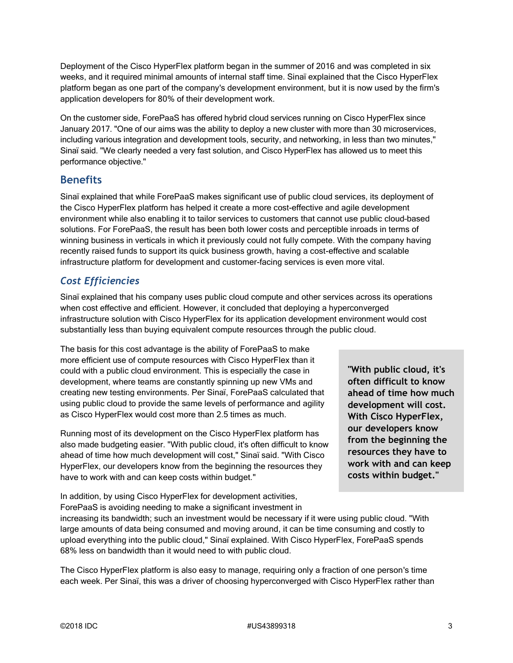Deployment of the Cisco HyperFlex platform began in the summer of 2016 and was completed in six weeks, and it required minimal amounts of internal staff time. Sinaï explained that the Cisco HyperFlex platform began as one part of the company's development environment, but it is now used by the firm's application developers for 80% of their development work.

On the customer side, ForePaaS has offered hybrid cloud services running on Cisco HyperFlex since January 2017. "One of our aims was the ability to deploy a new cluster with more than 30 microservices, including various integration and development tools, security, and networking, in less than two minutes," Sinaï said. "We clearly needed a very fast solution, and Cisco HyperFlex has allowed us to meet this performance objective."

### **Benefits**

Sinaï explained that while ForePaaS makes significant use of public cloud services, its deployment of the Cisco HyperFlex platform has helped it create a more cost-effective and agile development environment while also enabling it to tailor services to customers that cannot use public cloud–based solutions. For ForePaaS, the result has been both lower costs and perceptible inroads in terms of winning business in verticals in which it previously could not fully compete. With the company having recently raised funds to support its quick business growth, having a cost-effective and scalable infrastructure platform for development and customer-facing services is even more vital.

# *Cost Efficiencies*

Sinaï explained that his company uses public cloud compute and other services across its operations when cost effective and efficient. However, it concluded that deploying a hyperconverged infrastructure solution with Cisco HyperFlex for its application development environment would cost substantially less than buying equivalent compute resources through the public cloud.

The basis for this cost advantage is the ability of ForePaaS to make more efficient use of compute resources with Cisco HyperFlex than it could with a public cloud environment. This is especially the case in development, where teams are constantly spinning up new VMs and creating new testing environments. Per Sinaï, ForePaaS calculated that using public cloud to provide the same levels of performance and agility as Cisco HyperFlex would cost more than 2.5 times as much.

Running most of its development on the Cisco HyperFlex platform has also made budgeting easier. "With public cloud, it's often difficult to know ahead of time how much development will cost," Sinaï said. "With Cisco HyperFlex, our developers know from the beginning the resources they have to work with and can keep costs within budget."

In addition, by using Cisco HyperFlex for development activities, ForePaaS is avoiding needing to make a significant investment in

**"With public cloud, it's often difficult to know ahead of time how much development will cost. With Cisco HyperFlex, our developers know from the beginning the resources they have to work with and can keep costs within budget."**

increasing its bandwidth; such an investment would be necessary if it were using public cloud. "With large amounts of data being consumed and moving around, it can be time consuming and costly to upload everything into the public cloud," Sinaï explained. With Cisco HyperFlex, ForePaaS spends 68% less on bandwidth than it would need to with public cloud.

The Cisco HyperFlex platform is also easy to manage, requiring only a fraction of one person's time each week. Per Sinaï, this was a driver of choosing hyperconverged with Cisco HyperFlex rather than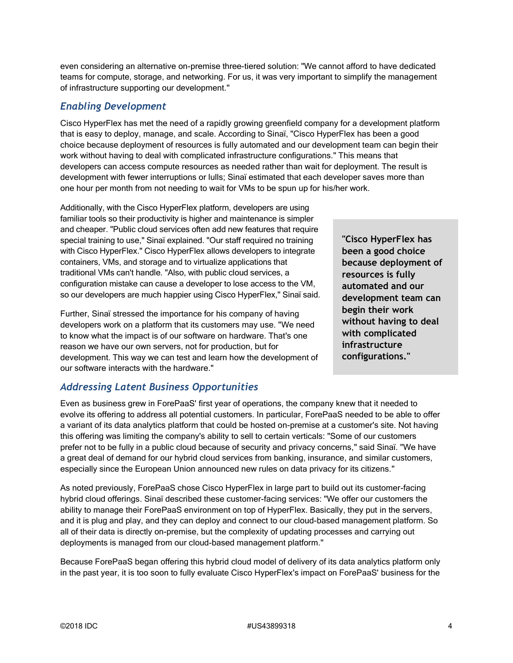even considering an alternative on-premise three-tiered solution: "We cannot afford to have dedicated teams for compute, storage, and networking. For us, it was very important to simplify the management of infrastructure supporting our development."

## *Enabling Development*

Cisco HyperFlex has met the need of a rapidly growing greenfield company for a development platform that is easy to deploy, manage, and scale. According to Sinaï, "Cisco HyperFlex has been a good choice because deployment of resources is fully automated and our development team can begin their work without having to deal with complicated infrastructure configurations." This means that developers can access compute resources as needed rather than wait for deployment. The result is development with fewer interruptions or lulls; Sinaï estimated that each developer saves more than one hour per month from not needing to wait for VMs to be spun up for his/her work.

Additionally, with the Cisco HyperFlex platform, developers are using familiar tools so their productivity is higher and maintenance is simpler and cheaper. "Public cloud services often add new features that require special training to use," Sinaï explained. "Our staff required no training with Cisco HyperFlex." Cisco HyperFlex allows developers to integrate containers, VMs, and storage and to virtualize applications that traditional VMs can't handle. "Also, with public cloud services, a configuration mistake can cause a developer to lose access to the VM, so our developers are much happier using Cisco HyperFlex," Sinaï said.

Further, Sinaï stressed the importance for his company of having developers work on a platform that its customers may use. "We need to know what the impact is of our software on hardware. That's one reason we have our own servers, not for production, but for development. This way we can test and learn how the development of our software interacts with the hardware."

**"Cisco HyperFlex has been a good choice because deployment of resources is fully automated and our development team can begin their work without having to deal with complicated infrastructure configurations."**

# *Addressing Latent Business Opportunities*

Even as business grew in ForePaaS' first year of operations, the company knew that it needed to evolve its offering to address all potential customers. In particular, ForePaaS needed to be able to offer a variant of its data analytics platform that could be hosted on-premise at a customer's site. Not having this offering was limiting the company's ability to sell to certain verticals: "Some of our customers prefer not to be fully in a public cloud because of security and privacy concerns," said Sinaï. "We have a great deal of demand for our hybrid cloud services from banking, insurance, and similar customers, especially since the European Union announced new rules on data privacy for its citizens."

As noted previously, ForePaaS chose Cisco HyperFlex in large part to build out its customer-facing hybrid cloud offerings. Sinaï described these customer-facing services: "We offer our customers the ability to manage their ForePaaS environment on top of HyperFlex. Basically, they put in the servers, and it is plug and play, and they can deploy and connect to our cloud-based management platform. So all of their data is directly on-premise, but the complexity of updating processes and carrying out deployments is managed from our cloud-based management platform."

Because ForePaaS began offering this hybrid cloud model of delivery of its data analytics platform only in the past year, it is too soon to fully evaluate Cisco HyperFlex's impact on ForePaaS' business for the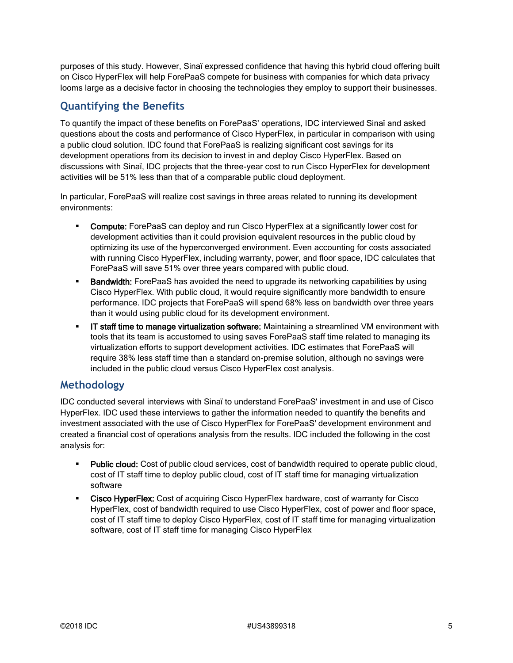purposes of this study. However, Sinaï expressed confidence that having this hybrid cloud offering built on Cisco HyperFlex will help ForePaaS compete for business with companies for which data privacy looms large as a decisive factor in choosing the technologies they employ to support their businesses.

# **Quantifying the Benefits**

To quantify the impact of these benefits on ForePaaS' operations, IDC interviewed Sinaï and asked questions about the costs and performance of Cisco HyperFlex, in particular in comparison with using a public cloud solution. IDC found that ForePaaS is realizing significant cost savings for its development operations from its decision to invest in and deploy Cisco HyperFlex. Based on discussions with Sinaï, IDC projects that the three-year cost to run Cisco HyperFlex for development activities will be 51% less than that of a comparable public cloud deployment.

In particular, ForePaaS will realize cost savings in three areas related to running its development environments:

- **Compute:** ForePaaS can deploy and run Cisco HyperFlex at a significantly lower cost for development activities than it could provision equivalent resources in the public cloud by optimizing its use of the hyperconverged environment. Even accounting for costs associated with running Cisco HyperFlex, including warranty, power, and floor space, IDC calculates that ForePaaS will save 51% over three years compared with public cloud.
- **Bandwidth:** ForePaaS has avoided the need to upgrade its networking capabilities by using Cisco HyperFlex. With public cloud, it would require significantly more bandwidth to ensure performance. IDC projects that ForePaaS will spend 68% less on bandwidth over three years than it would using public cloud for its development environment.
- **.** IT staff time to manage virtualization software: Maintaining a streamlined VM environment with tools that its team is accustomed to using saves ForePaaS staff time related to managing its virtualization efforts to support development activities. IDC estimates that ForePaaS will require 38% less staff time than a standard on-premise solution, although no savings were included in the public cloud versus Cisco HyperFlex cost analysis.

### **Methodology**

IDC conducted several interviews with Sinaï to understand ForePaaS' investment in and use of Cisco HyperFlex. IDC used these interviews to gather the information needed to quantify the benefits and investment associated with the use of Cisco HyperFlex for ForePaaS' development environment and created a financial cost of operations analysis from the results. IDC included the following in the cost analysis for:

- Public cloud: Cost of public cloud services, cost of bandwidth required to operate public cloud, cost of IT staff time to deploy public cloud, cost of IT staff time for managing virtualization software
- **EXEDER FIGHT COST COST OF ACTLAN ACTLAN IN ACTLAN ACTLAN COST COST COST COST COSTS** 6 CISCO **COSTS** HyperFlex, cost of bandwidth required to use Cisco HyperFlex, cost of power and floor space, cost of IT staff time to deploy Cisco HyperFlex, cost of IT staff time for managing virtualization software, cost of IT staff time for managing Cisco HyperFlex